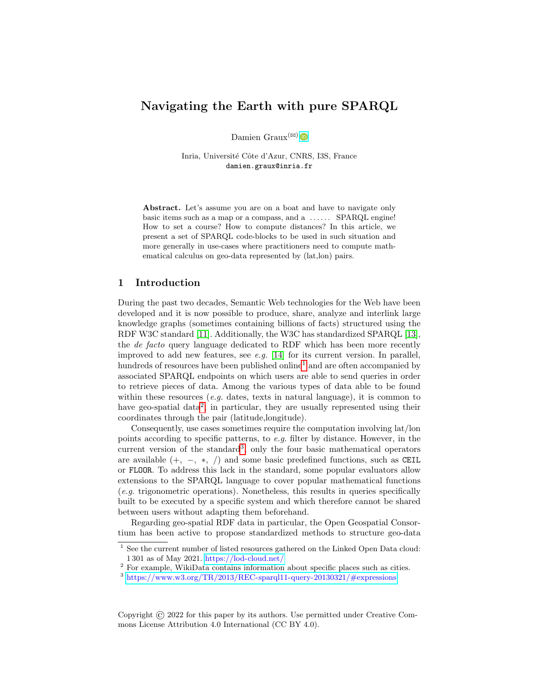# Navigating the Earth with pure SPARQL

Damien Graux<sup>( $\boxtimes$ )</sup>

Inria, Université Côte d'Azur, CNRS, I3S, France damien.graux@inria.fr

Abstract. Let's assume you are on a boat and have to navigate only basic items such as a map or a compass, and a ...... SPARQL engine! How to set a course? How to compute distances? In this article, we present a set of SPARQL code-blocks to be used in such situation and more generally in use-cases where practitioners need to compute mathematical calculus on geo-data represented by (lat,lon) pairs.

# 1 Introduction

During the past two decades, Semantic Web technologies for the Web have been developed and it is now possible to produce, share, analyze and interlink large knowledge graphs (sometimes containing billions of facts) structured using the RDF W3C standard [\[11\]](#page-11-0). Additionally, the W3C has standardized SPARQL [\[13\]](#page-11-1), the de facto query language dedicated to RDF which has been more recently improved to add new features, see e.g. [\[14\]](#page-11-2) for its current version. In parallel, hundreds of resources have been published online<sup>[1](#page-0-0)</sup> and are often accompanied by associated SPARQL endpoints on which users are able to send queries in order to retrieve pieces of data. Among the various types of data able to be found within these resources (e.g. dates, texts in natural language), it is common to have geo-spatial data<sup>[2](#page-0-1)</sup>; in particular, they are usually represented using their coordinates through the pair (latitude,longitude).

Consequently, use cases sometimes require the computation involving lat/lon points according to specific patterns, to e.g. filter by distance. However, in the current version of the standard<sup>[3](#page-0-2)</sup>, only the four basic mathematical operators are available  $(+, -, *, /)$  and some basic predefined functions, such as CEIL or FLOOR. To address this lack in the standard, some popular evaluators allow extensions to the SPARQL language to cover popular mathematical functions (e.g. trigonometric operations). Nonetheless, this results in queries specifically built to be executed by a specific system and which therefore cannot be shared between users without adapting them beforehand.

Regarding geo-spatial RDF data in particular, the Open Geospatial Consortium has been active to propose standardized methods to structure geo-data

Copyright © 2022 for this paper by its authors. Use permitted under Creative Commons License Attribution 4.0 International (CC BY 4.0).

<span id="page-0-0"></span> $\frac{1}{1}$  See the current number of listed resources gathered on the Linked Open Data cloud: 1 301 as of May 2021. <https://lod-cloud.net/>

<span id="page-0-1"></span><sup>&</sup>lt;sup>2</sup> For example, WikiData contains information about specific places such as cities.

<span id="page-0-2"></span> $3 \text{ https://www.w3.org/TR/2013/REC-sparq11-query-20130321/#expressions}$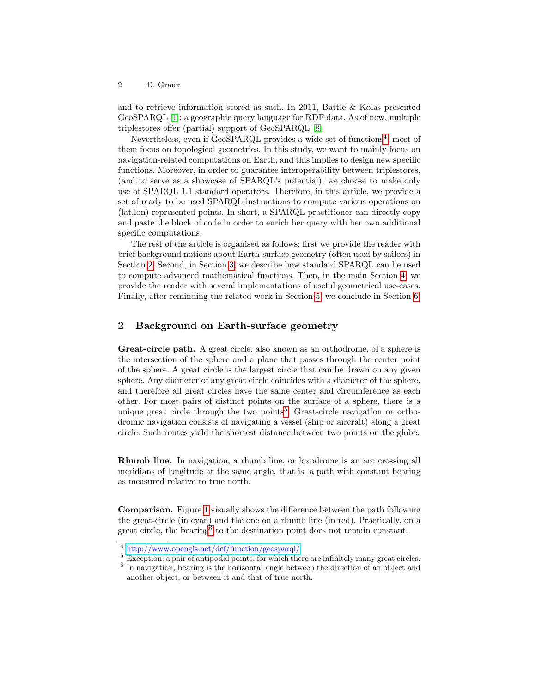and to retrieve information stored as such. In 2011, Battle & Kolas presented GeoSPARQL [\[1\]](#page-11-3): a geographic query language for RDF data. As of now, multiple triplestores offer (partial) support of GeoSPARQL [\[8\]](#page-11-4).

Nevertheless, even if GeoSPARQL provides a wide set of functions<sup>[4](#page-1-0)</sup>, most of them focus on topological geometries. In this study, we want to mainly focus on navigation-related computations on Earth, and this implies to design new specific functions. Moreover, in order to guarantee interoperability between triplestores, (and to serve as a showcase of SPARQL's potential), we choose to make only use of SPARQL 1.1 standard operators. Therefore, in this article, we provide a set of ready to be used SPARQL instructions to compute various operations on (lat,lon)-represented points. In short, a SPARQL practitioner can directly copy and paste the block of code in order to enrich her query with her own additional specific computations.

The rest of the article is organised as follows: first we provide the reader with brief background notions about Earth-surface geometry (often used by sailors) in Section [2.](#page-1-1) Second, in Section [3,](#page-2-0) we describe how standard SPARQL can be used to compute advanced mathematical functions. Then, in the main Section [4,](#page-3-0) we provide the reader with several implementations of useful geometrical use-cases. Finally, after reminding the related work in Section [5,](#page-9-0) we conclude in Section [6.](#page-10-0)

### <span id="page-1-1"></span>2 Background on Earth-surface geometry

Great-circle path. A great circle, also known as an orthodrome, of a sphere is the intersection of the sphere and a plane that passes through the center point of the sphere. A great circle is the largest circle that can be drawn on any given sphere. Any diameter of any great circle coincides with a diameter of the sphere, and therefore all great circles have the same center and circumference as each other. For most pairs of distinct points on the surface of a sphere, there is a unique great circle through the two points<sup>[5](#page-1-2)</sup>. Great-circle navigation or orthodromic navigation consists of navigating a vessel (ship or aircraft) along a great circle. Such routes yield the shortest distance between two points on the globe.

Rhumb line. In navigation, a rhumb line, or loxodrome is an arc crossing all meridians of longitude at the same angle, that is, a path with constant bearing as measured relative to true north.

Comparison. Figure [1](#page-2-1) visually shows the difference between the path following the great-circle (in cyan) and the one on a rhumb line (in red). Practically, on a great circle, the bearing<sup>[6](#page-1-3)</sup> to the destination point does not remain constant.

<span id="page-1-2"></span><sup>5</sup> Exception: a pair of antipodal points, for which there are infinitely many great circles.

<span id="page-1-0"></span><sup>4</sup> <http://www.opengis.net/def/function/geosparql/>

<span id="page-1-3"></span><sup>&</sup>lt;sup>6</sup> In navigation, bearing is the horizontal angle between the direction of an object and another object, or between it and that of true north.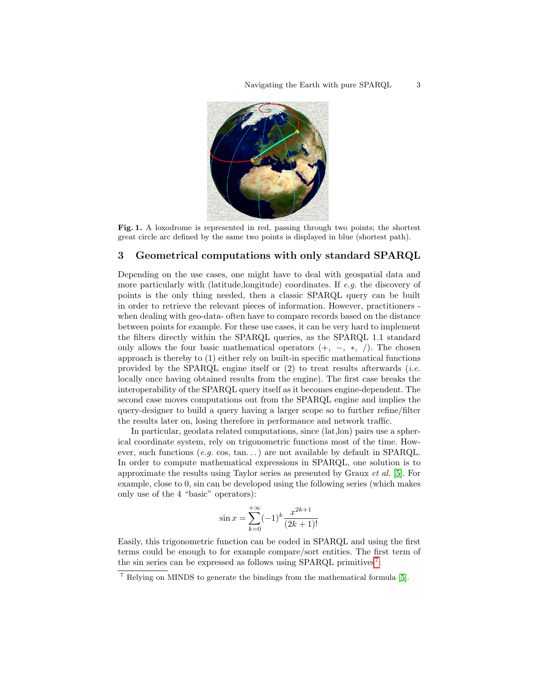<span id="page-2-1"></span>

Fig. 1. A loxodrome is represented in red, passing through two points; the shortest great circle arc defined by the same two points is displayed in blue (shortest path).

### <span id="page-2-0"></span>3 Geometrical computations with only standard SPARQL

Depending on the use cases, one might have to deal with geospatial data and more particularly with (latitude,longitude) coordinates. If e.g. the discovery of points is the only thing needed, then a classic SPARQL query can be built in order to retrieve the relevant pieces of information. However, practitioners when dealing with geo-data- often have to compare records based on the distance between points for example. For these use cases, it can be very hard to implement the filters directly within the SPARQL queries, as the SPARQL 1.1 standard only allows the four basic mathematical operators  $(+, -, *, /)$ . The chosen approach is thereby to (1) either rely on built-in specific mathematical functions provided by the SPARQL engine itself or  $(2)$  to treat results afterwards *(i.e.*) locally once having obtained results from the engine). The first case breaks the interoperability of the SPARQL query itself as it becomes engine-dependent. The second case moves computations out from the SPARQL engine and implies the query-designer to build a query having a larger scope so to further refine/filter the results later on, losing therefore in performance and network traffic.

In particular, geodata related computations, since (lat,lon) pairs use a spherical coordinate system, rely on trigonometric functions most of the time. However, such functions (e.g. cos, tan...) are not available by default in SPARQL. In order to compute mathematical expressions in SPARQL, one solution is to approximate the results using Taylor series as presented by Graux et al. [\[5\]](#page-11-5). For example, close to 0, sin can be developed using the following series (which makes only use of the 4 "basic" operators):

$$
\sin x = \sum_{k=0}^{+\infty} (-1)^k \frac{x^{2k+1}}{(2k+1)!}
$$

Easily, this trigonometric function can be coded in SPARQL and using the first terms could be enough to for example compare/sort entities. The first term of the sin series can be expressed as follows using SPARQL primitives<sup>[7](#page-2-2)</sup>:

<span id="page-2-2"></span><sup>7</sup> Relying on MINDS to generate the bindings from the mathematical formula [\[5\]](#page-11-5).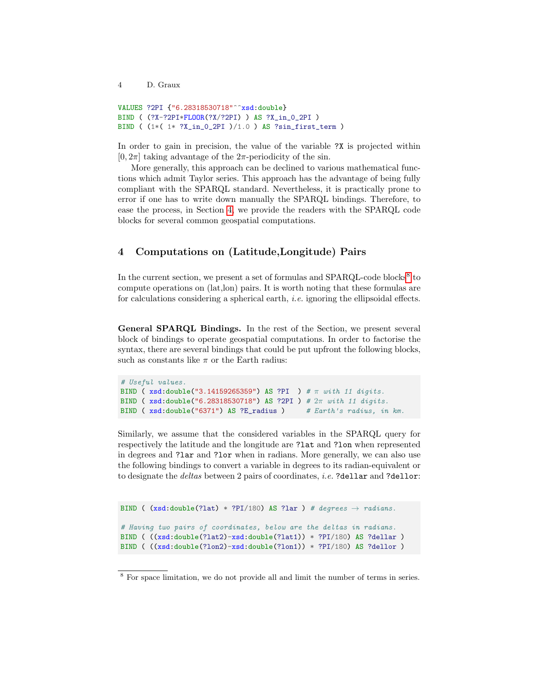```
VALUES ?2PI {"6.28318530718"^^xsd:double}
BIND ( (?X-?2PI*FLOOR(?X/?2PI) ) AS ?X_in_0_2PI )
BIND ( (1*( 1* ?X_in_0_2PI )/1.0 ) AS ?sin_first_term )
```
In order to gain in precision, the value of the variable ?X is projected within  $[0, 2\pi]$  taking advantage of the  $2\pi$ -periodicity of the sin.

More generally, this approach can be declined to various mathematical functions which admit Taylor series. This approach has the advantage of being fully compliant with the SPARQL standard. Nevertheless, it is practically prone to error if one has to write down manually the SPARQL bindings. Therefore, to ease the process, in Section [4,](#page-3-0) we provide the readers with the SPARQL code blocks for several common geospatial computations.

# <span id="page-3-0"></span>4 Computations on (Latitude,Longitude) Pairs

In the current section, we present a set of formulas and SPARQL-code blocks<sup>[8](#page-3-1)</sup> to compute operations on (lat,lon) pairs. It is worth noting that these formulas are for calculations considering a spherical earth, i.e. ignoring the ellipsoidal effects.

General SPARQL Bindings. In the rest of the Section, we present several block of bindings to operate geospatial computations. In order to factorise the syntax, there are several bindings that could be put upfront the following blocks, such as constants like  $\pi$  or the Earth radius:

```
# Useful values.
BIND (xsd:double("3.14159265359") AS ?PI ) # \pi with 11 digits.
BIND ( xsd:double("6.28318530718") AS ?2PI ) # 2π with 11 digits.
BIND ( xsd:double("6371") AS ?E_radius ) # Earth's radius, in km.
```
Similarly, we assume that the considered variables in the SPARQL query for respectively the latitude and the longitude are ?lat and ?lon when represented in degrees and ?lar and ?lor when in radians. More generally, we can also use the following bindings to convert a variable in degrees to its radian-equivalent or to designate the *deltas* between 2 pairs of coordinates, *i.e.* ?dellar and ?dellor:

```
BIND ( (xsd:double(?lat) * ?PI/180) AS ?lar) # degrees <math>\rightarrow</math> radians.# Having two pairs of coordinates, below are the deltas in radians.
BIND ( ((xsd:double(?lat2)-xsd:double(?lat1)) * ?PI/180) AS ?dellar )
BIND ( ((xsd:double(?lon2)-xsd:double(?lon1)) * ?PI/180) AS ?dellor )
```
<span id="page-3-1"></span><sup>8</sup> For space limitation, we do not provide all and limit the number of terms in series.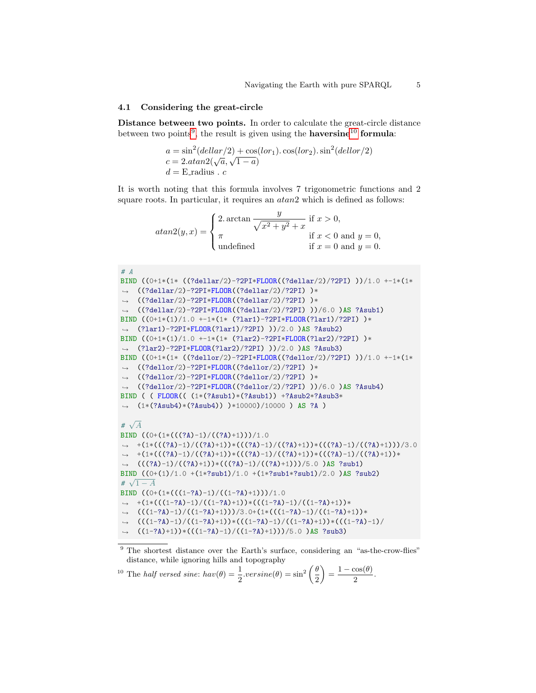#### 4.1 Considering the great-circle

Distance between two points. In order to calculate the great-circle distance between two points<sup>[9](#page-4-0)</sup>, the result is given using the **haversine**<sup>[10](#page-4-1)</sup> formula:

$$
a = \sin^2(\text{dellar}/2) + \cos(\text{lor}_1) \cdot \cos(\text{lor}_2) \cdot \sin^2(\text{dellor}/2)
$$
  
\n
$$
c = 2 \cdot \text{atan2}(\sqrt{a}, \sqrt{1 - a})
$$
  
\n
$$
d = \text{E_radians} \cdot c
$$

It is worth noting that this formula involves 7 trigonometric functions and 2 square roots. In particular, it requires an  $atan2$  which is defined as follows:

$$
atan2(y, x) = \begin{cases} 2. \arctan \frac{y}{\sqrt{x^2 + y^2} + x} & \text{if } x > 0, \\ \pi & \text{if } x < 0 \text{ and } y = 0, \\ \text{undefined} & \text{if } x = 0 \text{ and } y = 0. \end{cases}
$$

```
# A
BIND ((0+1*(1* ((?dellar/2)-?2PI*FLOOR((?dellar/2)/?2PI) ))/1.0 +-1*(1*
\rightarrow ((?dellar/2)-?2PI*FLOOR((?dellar/2)/?2PI))*
\rightarrow ((?dellar/2)-?2PI*FLOOR((?dellar/2)/?2PI))*
\rightarrow ((?dellar/2)-?2PI*FLOOR((?dellar/2)/?2PI) ))/6.0 )AS ?Asub1)
BIND ((0+1*(1)/1.0 +-1*(1* (?lar1)-?2PI*FLOOR(?lar1)/?2PI) )*
\rightarrow (?lar1)-?2PI*FLOOR(?lar1)/?2PI) ))/2.0 )AS ?Asub2)
BIND ((0+1*(1)/1.0 +-1*(1*(?)21-?)2PI*FLOOR(?1ar2)/?2PI) )*
\rightarrow (?lar2)-?2PI*FLOOR(?lar2)/?2PI) ))/2.0 )AS ?Asub3)
BIND ((0+1*(1* ((?dellor/2)-?2PI*FLOOR((?dellor/2)/?2PI) ))/1.0 +-1*(1*
\rightarrow ((?dellor/2)-?2PI*FLOOR((?dellor/2)/?2PI))*
\rightarrow ((?dellor/2)-?2PI*FLOOR((?dellor/2)/?2PI))*
\rightarrow ((?dellor/2)-?2PI*FLOOR((?dellor/2)/?2PI) ))/6.0 )AS ?Asub4)
BIND ( ( FLOOR(( (1*(?Asub1)*(?Asub1)) +?Asub2*?Asub3*
\rightarrow (1*(?Asub4)*(?Asub4)) )*10000)/10000 ) AS ?A )
#
  \sqrt{A}BIND ((0+(1*(((?A)-1)/((?A)+1)))/1.0+(1*(((?A)-1)/((?A)+1))*(((?A)-1)/((?A)+1))*(((?A)-1)/((?A)+1)))/3.0
,→
\rightarrow +(1*(((?A)-1)/((?A)+1))*(((?A)-1)/((?A)+1))*(((?A)-1)/((?A)+1))*
→ (((?A)-1)/((?A)+1))*(((?A)-1)/((?A)+1)))/5.0 )AS ?sub1)
\frac{\text{BIND}((0+(1)/1.0+(1*?sub1)/1.0+(1*?sub1*?sub1)/2.0)}{\sqrt{1+\frac{1}{2}}}\?sub2)
# \sqrt{1-A}BIND ((0+(1*((1-?A)-1)/((1-?A)+1)))/1.0\rightarrow +(1*(((1-?A)-1)/((1-?A)+1))*(((1-?A)-1)/((1-?A)+1))*
\rightarrow (((1-?A)-1)/((1-?A)+1)))/3.0+(1*((1-?A)-1)/((1-?A)+1))*\rightarrow (((1-?A)-1)/((1-?A)+1))*(((1-?A)-1)/((1-?A)+1))*((1-?A)-1)/\rightarrow ((1-?A)+1))*(((1-?A)-1)/((1-?A)+1)))/5.0 )AS ?sub3)
```
<span id="page-4-0"></span><sup>9</sup> The shortest distance over the Earth's surface, considering an "as-the-crow-flies" distance, while ignoring hills and topography

<span id="page-4-1"></span><sup>10</sup> The *half versed sine*:  $hav(\theta) = \frac{1}{2} \cdot versine(\theta) = \sin^2 \left(\frac{\theta}{2}\right)$ 2  $= \frac{1 - \cos(\theta)}{2}$  $\frac{200(v)}{2}$ .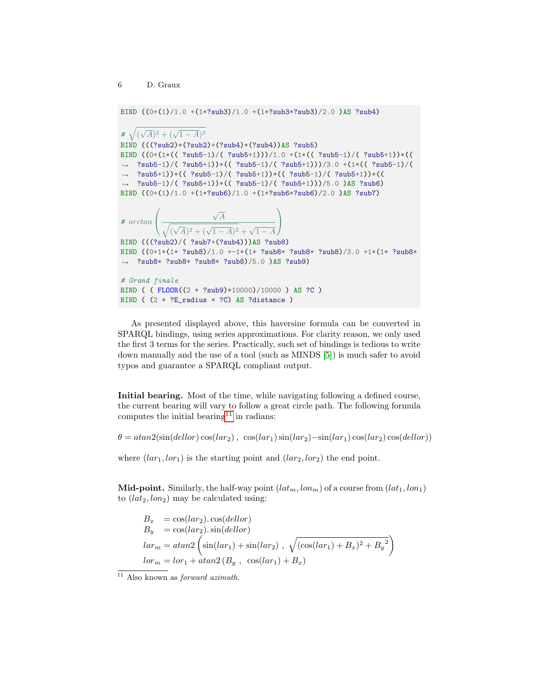BIND  $((0+(1)/1.0 + (1*?sub3)/1.0 + (1*?sub3*?sub3)/2.0)$ AS ?sub4) #  $\sqrt{(\sqrt{A})^2 + (\sqrt{1-A})^2}$ BIND (((?sub2)\*(?sub2)+(?sub4)\*(?sub4))AS ?sub5) BIND  $((0+(1*(( ?sub5-1)/( ?sub5+1)))/1.0 +(1*(( ?sub5-1)/( ?sub5+1))*)($  $\rightarrow$  ?sub5-1)/( ?sub5+1))\*(( ?sub5-1)/( ?sub5+1)))/3.0 +(1\*(( ?sub5-1)/(  $\rightarrow$  ?sub5+1))\*(( ?sub5-1)/( ?sub5+1))\*(( ?sub5-1)/( ?sub5+1))\*((  $\rightarrow$  ?sub5-1)/( ?sub5+1))\*(( ?sub5-1)/( ?sub5+1)))/5.0 )AS ?sub6) BIND ((0+(1)/1.0 +(1\*?sub6)/1.0 +(1\*?sub6\*?sub6)/2.0 )AS ?sub7) # arctan  $\sqrt{ }$  $\mathcal{L}$  $\sqrt{A}$  $\sqrt{(\sqrt{A})^2 + (\sqrt{1-A})^2} + \sqrt{1-A}$  $\setminus$  $\overline{1}$ BIND (((?sub2)/( ?sub7+(?sub4)))AS ?sub8) BIND ((0+1\*(1\* ?sub8)/1.0 +-1\*(1\* ?sub8\* ?sub8\* ?sub8)/3.0 +1\*(1\* ?sub8\*  $\rightarrow$  ?sub8\* ?sub8\* ?sub8\* ?sub8)/5.0 )AS ?sub9) # Grand finale BIND ( ( FLOOR((2 \* ?sub9)\*10000)/10000 ) AS ?C ) BIND ( (2 \* ?E\_radius \* ?C) AS ?distance )

As presented displayed above, this haversine formula can be converted in SPARQL bindings, using series approximations. For clarity reason, we only used the first 3 terms for the series. Practically, such set of bindings is tedious to write down manually and the use of a tool (such as MINDS [\[5\]](#page-11-5)) is much safer to avoid typos and guarantee a SPARQL compliant output.

Initial bearing. Most of the time, while navigating following a defined course, the current bearing will vary to follow a great circle path. The following formula computes the initial bearing<sup>[11](#page-5-0)</sup> in radians:

 $\theta = \text{atan2}(\sin(\text{dellor}) \cos(\text{lar}_2), \cos(\text{lar}_1) \sin(\text{lar}_2) - \sin(\text{lar}_1) \cos(\text{lar}_2) \cos(\text{dellor}))$ 

where  $(lar_1,lor_1)$  is the starting point and  $(lar_2,lor_2)$  the end point.

**Mid-point.** Similarly, the half-way point  $(lat_m, lon_m)$  of a course from  $(lat_1, lon_1)$ to  $(lat_2,lon_2)$  may be calculated using:

 $B_x = \cos(lar_2) \cdot \cos(dellor)$  $B_y = \cos(lar_2) \cdot \sin(dellor)$  $lar_m = atan2\left(\sin(lar_1) + \sin(lar_2) , \sqrt{(\cos(lar_1) + B_x)^2 + B_y^2}\right)$  $lor_m = lor_1 + atan2(B_y, cos(lar_1) + B_x)$ 

<span id="page-5-0"></span> $\overline{11}$  Also known as *forward azimuth*.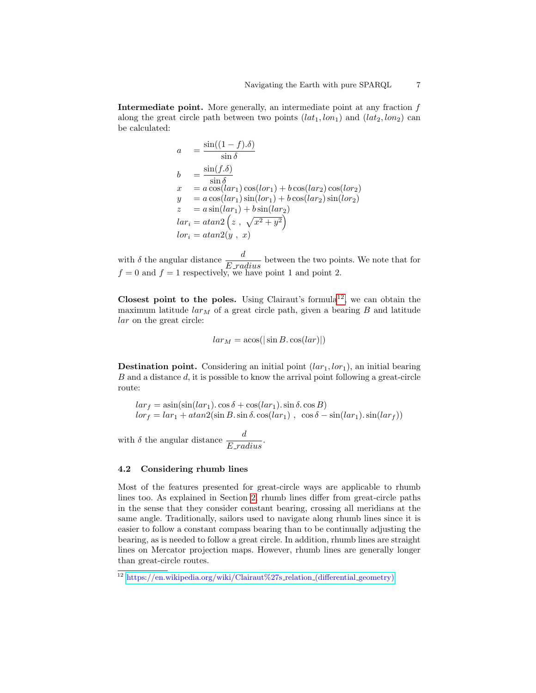Intermediate point. More generally, an intermediate point at any fraction  $f$ along the great circle path between two points  $(lat_1,lon_1)$  and  $(lat_2,lon_2)$  can be calculated:

$$
a = \frac{\sin((1-f).\delta)}{\sin \delta}
$$
  
\n
$$
b = \frac{\sin(f.\delta)}{\sin \delta}
$$
  
\n
$$
x = a \cos(lar_1)\cos(lor_1) + b \cos(lar_2)\cos(lor_2)
$$
  
\n
$$
y = a \cos(lar_1)\sin(lor_1) + b \cos(lar_2)\sin(lor_2)
$$
  
\n
$$
z = a \sin(lar_1) + b \sin(lar_2)
$$
  
\n
$$
lar_i = atan2(z, \sqrt{x^2 + y^2})
$$
  
\n
$$
lor_i = atan2(y, x)
$$

with  $\delta$  the angular distance  $\frac{d}{E\_radius}$  between the two points. We note that for  $f = 0$  and  $f = 1$  respectively, we have point 1 and point 2.

Closest point to the poles. Using Clairaut's formula<sup>[12](#page-6-0)</sup>, we can obtain the maximum latitude  $\lim_{M \to \infty}$  of a great circle path, given a bearing B and latitude lar on the great circle:

$$
lar_M = \operatorname{acos}(|\sin B \cdot \cos(lar)|)
$$

**Destination point.** Considering an initial point  $(lar_1, lor_1)$ , an initial bearing B and a distance d, it is possible to know the arrival point following a great-circle route:

$$
lar_f = \operatorname{asin}(\sin(lar_1) \cdot \cos \delta + \cos(lar_1) \cdot \sin \delta \cdot \cos B)
$$
  

$$
lor_f = lar_1 + \operatorname{atan2}(\sin B \cdot \sin \delta \cdot \cos(lar_1), \cos \delta - \sin(lar_1) \cdot \sin(lar_f))
$$

with  $\delta$  the angular distance  $\frac{d}{E_{\perp} radius}$ .

#### 4.2 Considering rhumb lines

Most of the features presented for great-circle ways are applicable to rhumb lines too. As explained in Section [2,](#page-1-1) rhumb lines differ from great-circle paths in the sense that they consider constant bearing, crossing all meridians at the same angle. Traditionally, sailors used to navigate along rhumb lines since it is easier to follow a constant compass bearing than to be continually adjusting the bearing, as is needed to follow a great circle. In addition, rhumb lines are straight lines on Mercator projection maps. However, rhumb lines are generally longer than great-circle routes.

<span id="page-6-0"></span> $\frac{12 \text{ https://en.wikipedia.org/wiki/Clairaut%27s_relation.(differential_geometry))}{12 \text{ https://en.wikipedia.org/wiki/Clairaut%27s_relation.(differential_geometry))}}$  $\frac{12 \text{ https://en.wikipedia.org/wiki/Clairaut%27s_relation.(differential_geometry))}{12 \text{ https://en.wikipedia.org/wiki/Clairaut%27s_relation.(differential_geometry))}}$  $\frac{12 \text{ https://en.wikipedia.org/wiki/Clairaut%27s_relation.(differential_geometry))}{12 \text{ https://en.wikipedia.org/wiki/Clairaut%27s_relation.(differential_geometry))}}$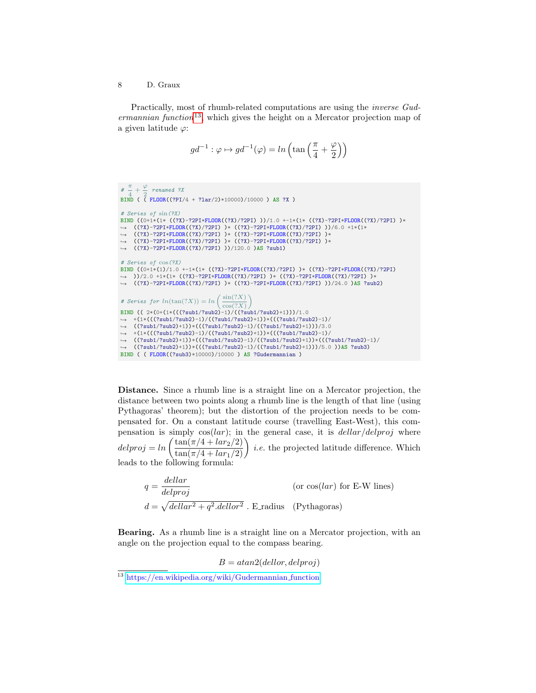Practically, most of rhumb-related computations are using the inverse Gud- $ermannian function<sup>13</sup>$  $ermannian function<sup>13</sup>$  $ermannian function<sup>13</sup>$ , which gives the height on a Mercator projection map of a given latitude  $\varphi$ :

$$
g d^{-1} : \varphi \mapsto g d^{-1}(\varphi) = \ln\left(\tan\left(\frac{\pi}{4} + \frac{\varphi}{2}\right)\right)
$$

```
# \frac{\pi}{4}\frac{\pi}{4} + \frac{\varphi}{2}\frac{r}{2} renamed ?X
BIND ( ( FLOOR((?PI/4 + ?lar/2)*10000)/10000 ) AS ?X )
# Series of sin(?X)
BIND ((0+1*(1* ((?X)-?2PI*FLOOR((?X)/?2PI) ))/1.0 +-1*(1* ((?X)-?2PI*FLOOR((?X)/?2PI) )*
      ((?X)-?2PI*FLOOR((?X)/?2PI) )* ((?X)-?2PI*FLOOR((?X)/?2PI) ))/6.0 +1*(1*
((?X)-?2PI*FLOOR((?X)/?2PI) )* ((?X)-?2PI*FLOOR((?X)/?2PI) )*
     ((?X)-?2PI*FLOOR((?X)/?2PI) )* ((?X)-?2PI*FLOOR((?X)/?2PI) )*
    ((?X)-?2PI*FLOOR((?X)/?2PI) ))/120.0 )AS ?sub1)
\hookrightarrow\leftarrow\hookrightarrow\hookrightarrow# Series of cos(?X)
\nonumber \begin{array}{lll} \texttt{BIND} & \texttt{(0+1*(1)/1.0 +-1*(1*(-(??Y)-?2PI*FLOOR((?X)/?2PI)))*((?X)-?2PI*FLOOR((?X)/?2PI))} \end{array}\rightarrow ))/2.0 +1*(1* ((?X)-?2PI*FLOOR((?X)/?2PI) )* ((?X)-?2PI*FLOOR((?X)/?2PI) )*
\rightarrow ((?X)-?2PI*FLOOR((?X)/?2PI))* ((?X)-?2PI*FLOOR((?X)/?2PI)))/24.0)AS ?sub2)
# Series for ln(tan(?X)) = ln\left(\frac{sin(?X)}{sin(?X)}\right)cos(?X)\setminusBIND (( 2*(0+(1*(((?sub1/?sub2)-1)/((?sub1/?sub2)+1)))/1.0
\rightarrow +(1*((?sub1?sub2)-1)/((?sub1/?sub2)+1))*((?sub2)+1))→ ((?sub1/?sub2)+1))*(((?sub1/?sub2)-1)/((?sub1/?sub2)+1)))/3.0
\rightarrow +(1*((?sub1/?sub2)-1)/((?sub1/?sub2)+1))*((?sub1/?sub2)-1)/→ ((?sub1/?sub2)+1))*(((?sub1/?sub2)-1)/((?sub1/?sub2)+1))*(((?sub1/?sub2)-1)/<br>→ ((?sub1/?sub2)+1))*(((?sub1/?sub2)-1)/((?sub1/?sub2)+1)))/5.0 ))<mark>AS</mark> ?sub3)
BIND ( ( FLOOR((?sub3)*10000)/10000 ) AS ?Gudermannian )
```
Distance. Since a rhumb line is a straight line on a Mercator projection, the distance between two points along a rhumb line is the length of that line (using Pythagoras' theorem); but the distortion of the projection needs to be compensated for. On a constant latitude course (travelling East-West), this compensation is simply  $cos(lar)$ ; in the general case, it is  $dellar/delproj$  where  $delproj = ln \left( \frac{\tan(\pi/4 + lar_2/2)}{\tan(\pi/4 + lar_1/2)} \right)$  *i.e.* the projected latitude difference. Which leads to the following formula:

$$
q = \frac{dellar}{delproj}
$$
 (or  $cos(lar)$  for E-W lines)  

$$
d = \sqrt{dellar^2 + q^2}.dellor^2
$$
. E\_radius (Pythagoras)

Bearing. As a rhumb line is a straight line on a Mercator projection, with an angle on the projection equal to the compass bearing.

 $B = atan2(dellor, delproj)$ 

<span id="page-7-0"></span><sup>&</sup>lt;sup>13</sup> [https://en.wikipedia.org/wiki/Gudermannian](https://en.wikipedia.org/wiki/Gudermannian_function)\_function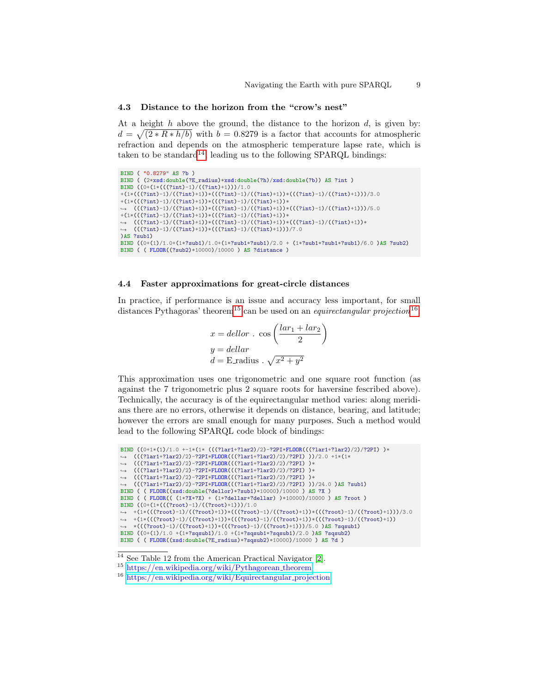#### 4.3 Distance to the horizon from the "crow's nest"

At a height  $h$  above the ground, the distance to the horizon  $d$ , is given by:  $d = \sqrt{(2 * R * h/b)}$  with  $b = 0.8279$  is a factor that accounts for atmospheric refraction and depends on the atmospheric temperature lapse rate, which is taken to be standard<sup>[14](#page-8-0)</sup>, leading us to the following SPARQL bindings:

```
BIND ( "0.8279" AS ?b )
BIND ( (2*xsd:double(?E_radius)*xsd:double(?h)/xsd:double(?b)) AS ?int )
BIND ((0+(1*((?int)-1)/((?int)+1)))/1.0+(1*(((?int)-1)/((?int)+1))*(((?int)-1)/((?int)+1))*(((?int)-1)/((?int)+1)))/3.0
+(1*(((?int)-1)/((?int)+1))*(((?int)-1)/((?int)+1))*\rightarrow (((?int)-1)/((?int)+1))*(((?int)-1)/((?int)+1))*(((?int)-1)/((?int)+1)))/5.0
+(1*(((?int)-1)/((?int)+1))*(((?int)-1)/((?int)+1))*\leftrightarrow (((?int)-1)/((?int)+1))*(((?int)-1)/((?int)+1))*(((?int)-1)/((?int)+1))*
   (((?int)-1)/((?int)+1))*((?int)-1)/((?int)+1)))/7.0\hookrightarrow)AS ?sub1)
BIND ((0+(1)/1.0+(1*?sub1)/1.0+(1*?sub1*?sub1)/2.0 + (1*?sub1*?sub1*?sub1)/6.0 )AS ?sub2)
BIND ( ( FLOOR((?sub2)*10000)/10000 ) AS ?distance )
```
### 4.4 Faster approximations for great-circle distances

In practice, if performance is an issue and accuracy less important, for small distances Pythagoras' theorem<sup>[15](#page-8-1)</sup> can be used on an *equirectangular projection*<sup>[16](#page-8-2)</sup>:

$$
x = dellor . \cos\left(\frac{lar_1 + lar_2}{2}\right)
$$
  

$$
y = dellar
$$
  

$$
d = \text{E_radius} . \sqrt{x^2 + y^2}
$$

This approximation uses one trigonometric and one square root function (as against the 7 trigonometric plus 2 square roots for haversine fescribed above). Technically, the accuracy is of the equirectangular method varies: along meridians there are no errors, otherwise it depends on distance, bearing, and latitude; however the errors are small enough for many purposes. Such a method would lead to the following SPARQL code block of bindings:

```
BIND ((0+1*(1)/1.0 +-1*(1*(((?1ar1+?1ar2)/2)-?2PI*FL00R(((?1ar1+?1ar2)/2)/?2PI)))*(((?1ar1+?1ar2)/2)-?2PI*FLOOR(((?1ar1+?1ar2)/2)/?2PI) ))/2.0 +1*(1*
    (((?lar1+?lar2)/2)-?2PI*FLOOR(((?lar1+?lar2)/2)/?2PI) )*
    (((?1ar1+?1ar2)/2)-?2PI*FL00R(((?1ar1+?1ar2)/2)/?2PI) )*
→ (((?lar1+?lar2)/2)-?2PI*FLOOR(((?lar1+?lar2)/2)/?2PI) )*
\leftrightarrow (((?lar1+?lar2)/2)-?2PI*FLOOR(((?lar1+?lar2)/2)/?2PI) ))/24.0 )AS ?sub1)
\hookrightarrow\rightarrow\rightarrowBIND ( ( FLOOR((xsd:double(?dellor)*?sub1)*10000)/10000 ) AS ?X )
BIND ( ( FLOOR(( (1*?X*?X) + (1*?dellar*?dellar) )*10000)/10000 ) AS ?root )
BIND ((0+(1*(((?root)-1)/((?root)+1)))/1.0
\rightarrow +(1*(((?root)-1)/((?root)+1))*(((?root)-1)/((?root)+1))*(((?root)-1)/((?root)+1)))/3.0
\rightarrow +(1*(((?root)-1)/((?root)+1))*(((?root)-1)/((?root)+1))*(((?root)+1))(((?root)+1))*(((?root)-1)/((?root)+1))*(((?root)-1)/((?root)+1)))/5.0 )AS ?sqsub1)
\hookrightarrowBIND ((0+(1)/1.0 +(1*?sqsub1)/1.0 +(1*?sqsub1*?sqsub1)/2.0 )AS ?sqsub2)
BIND ( ( FLOOR((xsd:double(?E_radius)*?sqsub2)*10000)/10000 ) AS ?d )
```
<span id="page-8-0"></span><sup>14</sup> See Table 12 from the American Practical Navigator [\[2\]](#page-11-6).

<span id="page-8-1"></span> $^{15}$ [https://en.wikipedia.org/wiki/Pythagorean](https://en.wikipedia.org/wiki/Pythagorean_theorem)\_theorem

<span id="page-8-2"></span><sup>16</sup> [https://en.wikipedia.org/wiki/Equirectangular](https://en.wikipedia.org/wiki/Equirectangular_projection) projection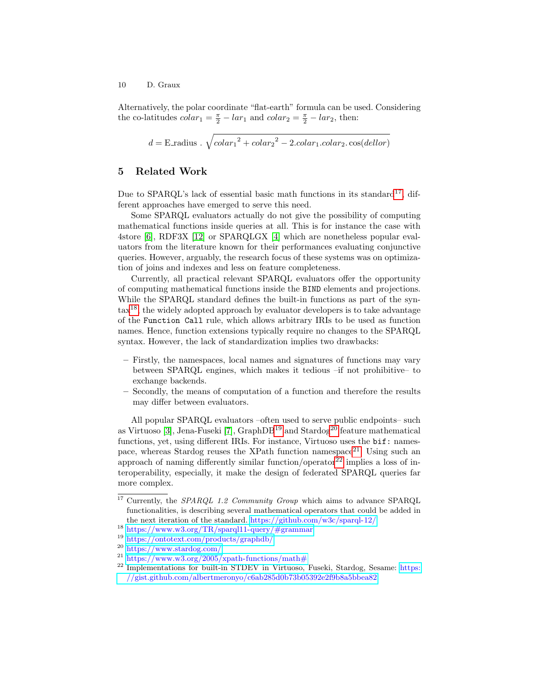Alternatively, the polar coordinate "flat-earth" formula can be used. Considering the co-latitudes  $colar_1 = \frac{\pi}{2} - lar_1$  and  $colar_2 = \frac{\pi}{2} - lar_2$ , then:

$$
d = \text{E\_radius} \cdot \sqrt{colar_1^2 + colar_2^2 - 2.colar_1.colar_2.\cos(dellor)}
$$

# <span id="page-9-0"></span>5 Related Work

Due to SPARQL's lack of essential basic math functions in its standard<sup>[17](#page-9-1)</sup>, different approaches have emerged to serve this need.

Some SPARQL evaluators actually do not give the possibility of computing mathematical functions inside queries at all. This is for instance the case with 4store [\[6\]](#page-11-7), RDF3X [\[12\]](#page-11-8) or SPARQLGX [\[4\]](#page-11-9) which are nonetheless popular evaluators from the literature known for their performances evaluating conjunctive queries. However, arguably, the research focus of these systems was on optimization of joins and indexes and less on feature completeness.

Currently, all practical relevant SPARQL evaluators offer the opportunity of computing mathematical functions inside the BIND elements and projections. While the SPARQL standard defines the built-in functions as part of the syn- $\text{tax}^{18}$  $\text{tax}^{18}$  $\text{tax}^{18}$ , the widely adopted approach by evaluator developers is to take advantage of the Function Call rule, which allows arbitrary IRIs to be used as function names. Hence, function extensions typically require no changes to the SPARQL syntax. However, the lack of standardization implies two drawbacks:

- Firstly, the namespaces, local names and signatures of functions may vary between SPARQL engines, which makes it tedious –if not prohibitive– to exchange backends.
- Secondly, the means of computation of a function and therefore the results may differ between evaluators.

All popular SPARQL evaluators –often used to serve public endpoints– such as Virtuoso [\[3\]](#page-11-10), Jena-Fuseki [\[7\]](#page-11-11),  $GraphDB<sup>19</sup>$  $GraphDB<sup>19</sup>$  $GraphDB<sup>19</sup>$  and  $Stardog<sup>20</sup>$  $Stardog<sup>20</sup>$  $Stardog<sup>20</sup>$  feature mathematical functions, yet, using different IRIs. For instance, Virtuoso uses the bif: names-pace, whereas Stardog reuses the XPath function namespace<sup>[21](#page-9-5)</sup>. Using such an approach of naming differently similar function/operator $^{22}$  $^{22}$  $^{22}$  implies a loss of interoperability, especially, it make the design of federated SPARQL queries far more complex.

<span id="page-9-1"></span> $17$  Currently, the SPARQL 1.2 Community Group which aims to advance SPARQL functionalities, is describing several mathematical operators that could be added in the next iteration of the standard. <https://github.com/w3c/sparql-12/>

<span id="page-9-2"></span><sup>18</sup> <https://www.w3.org/TR/sparql11-query/#grammar>

<span id="page-9-3"></span><sup>19</sup> <https://ontotext.com/products/graphdb/>

<span id="page-9-4"></span><sup>20</sup> <https://www.stardog.com/>

<span id="page-9-5"></span><sup>&</sup>lt;sup>21</sup> <https://www.w3.org/2005/xpath-functions/math#>

<span id="page-9-6"></span><sup>&</sup>lt;sup>22</sup> Implementations for built-in STDEV in Virtuoso, Fuseki, Stardog, Sesame: [https:](https://gist.github.com/albertmeronyo/c6ab285d0b73b05392e2f9b8a5bbea82) [//gist.github.com/albertmeronyo/c6ab285d0b73b05392e2f9b8a5bbea82](https://gist.github.com/albertmeronyo/c6ab285d0b73b05392e2f9b8a5bbea82)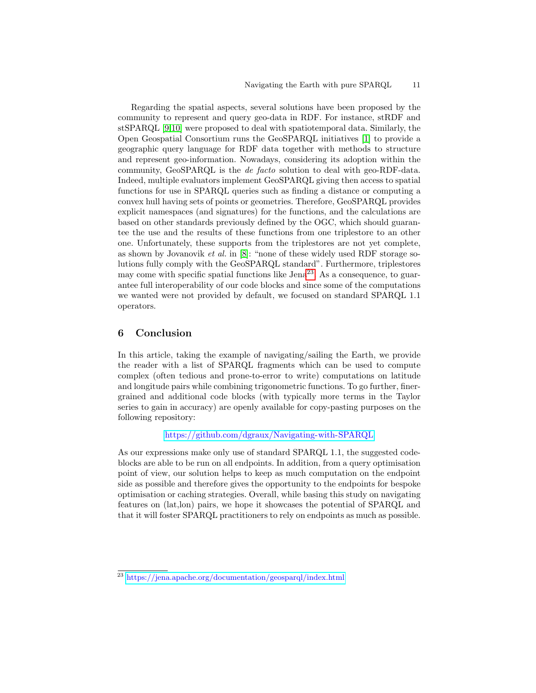Regarding the spatial aspects, several solutions have been proposed by the community to represent and query geo-data in RDF. For instance, stRDF and stSPARQL [\[9,](#page-11-12)[10\]](#page-11-13) were proposed to deal with spatiotemporal data. Similarly, the Open Geospatial Consortium runs the GeoSPARQL initiatives [\[1\]](#page-11-3) to provide a geographic query language for RDF data together with methods to structure and represent geo-information. Nowadays, considering its adoption within the community, GeoSPARQL is the de facto solution to deal with geo-RDF-data. Indeed, multiple evaluators implement GeoSPARQL giving then access to spatial functions for use in SPARQL queries such as finding a distance or computing a convex hull having sets of points or geometries. Therefore, GeoSPARQL provides explicit namespaces (and signatures) for the functions, and the calculations are based on other standards previously defined by the OGC, which should guarantee the use and the results of these functions from one triplestore to an other one. Unfortunately, these supports from the triplestores are not yet complete, as shown by Jovanovik *et al.* in  $[8]$ : "none of these widely used RDF storage solutions fully comply with the GeoSPARQL standard". Furthermore, triplestores may come with specific spatial functions like  $\rm{Jena}^{23}$  $\rm{Jena}^{23}$  $\rm{Jena}^{23}$ . As a consequence, to guarantee full interoperability of our code blocks and since some of the computations we wanted were not provided by default, we focused on standard SPARQL 1.1 operators.

## <span id="page-10-0"></span>6 Conclusion

In this article, taking the example of navigating/sailing the Earth, we provide the reader with a list of SPARQL fragments which can be used to compute complex (often tedious and prone-to-error to write) computations on latitude and longitude pairs while combining trigonometric functions. To go further, finergrained and additional code blocks (with typically more terms in the Taylor series to gain in accuracy) are openly available for copy-pasting purposes on the following repository:

<https://github.com/dgraux/Navigating-with-SPARQL>

As our expressions make only use of standard SPARQL 1.1, the suggested codeblocks are able to be run on all endpoints. In addition, from a query optimisation point of view, our solution helps to keep as much computation on the endpoint side as possible and therefore gives the opportunity to the endpoints for bespoke optimisation or caching strategies. Overall, while basing this study on navigating features on (lat,lon) pairs, we hope it showcases the potential of SPARQL and that it will foster SPARQL practitioners to rely on endpoints as much as possible.

<span id="page-10-1"></span><sup>23</sup> <https://jena.apache.org/documentation/geosparql/index.html>